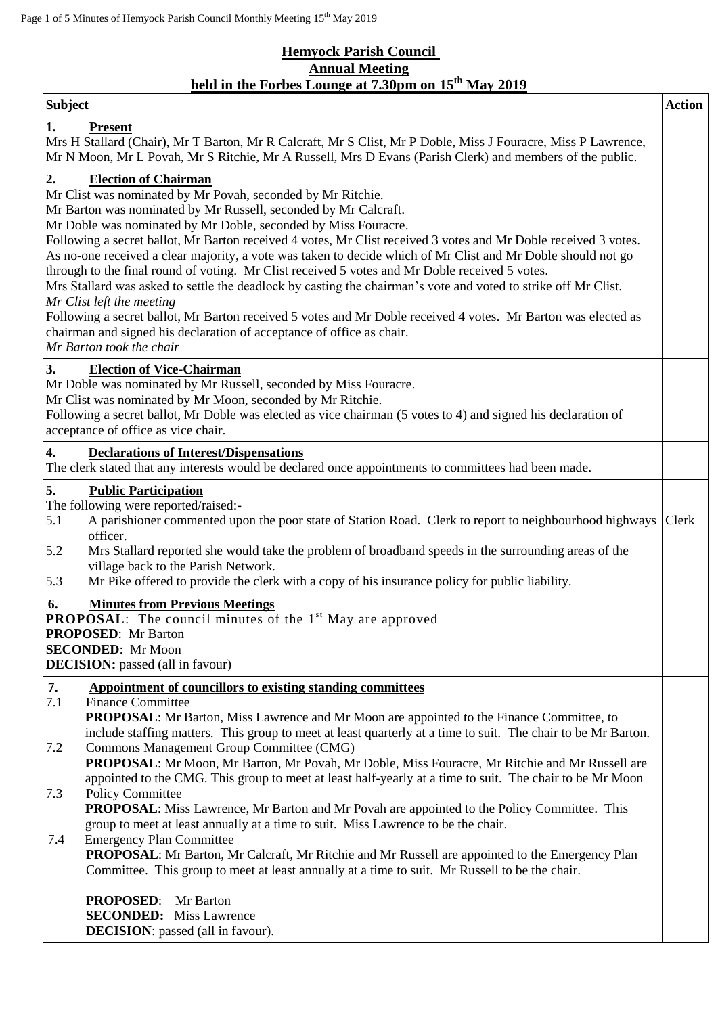## **Hemyock Parish Council Annual Meeting held in the Forbes Lounge at 7.30pm on 15th May 2019**

| <b>Subject</b>                                                                                                                                                                                                                                                                                                                                                                                                                                                                                                                                                                                                                                                                                                                                                                                                                                                                                                                                  | <b>Action</b> |  |  |  |
|-------------------------------------------------------------------------------------------------------------------------------------------------------------------------------------------------------------------------------------------------------------------------------------------------------------------------------------------------------------------------------------------------------------------------------------------------------------------------------------------------------------------------------------------------------------------------------------------------------------------------------------------------------------------------------------------------------------------------------------------------------------------------------------------------------------------------------------------------------------------------------------------------------------------------------------------------|---------------|--|--|--|
| <b>Present</b><br>1.<br>Mrs H Stallard (Chair), Mr T Barton, Mr R Calcraft, Mr S Clist, Mr P Doble, Miss J Fouracre, Miss P Lawrence,<br>Mr N Moon, Mr L Povah, Mr S Ritchie, Mr A Russell, Mrs D Evans (Parish Clerk) and members of the public.                                                                                                                                                                                                                                                                                                                                                                                                                                                                                                                                                                                                                                                                                               |               |  |  |  |
| 2.<br><b>Election of Chairman</b><br>Mr Clist was nominated by Mr Povah, seconded by Mr Ritchie.<br>Mr Barton was nominated by Mr Russell, seconded by Mr Calcraft.<br>Mr Doble was nominated by Mr Doble, seconded by Miss Fouracre.<br>Following a secret ballot, Mr Barton received 4 votes, Mr Clist received 3 votes and Mr Doble received 3 votes.<br>As no-one received a clear majority, a vote was taken to decide which of Mr Clist and Mr Doble should not go<br>through to the final round of voting. Mr Clist received 5 votes and Mr Doble received 5 votes.<br>Mrs Stallard was asked to settle the deadlock by casting the chairman's vote and voted to strike off Mr Clist.<br>Mr Clist left the meeting<br>Following a secret ballot, Mr Barton received 5 votes and Mr Doble received 4 votes. Mr Barton was elected as<br>chairman and signed his declaration of acceptance of office as chair.<br>Mr Barton took the chair |               |  |  |  |
| 3.<br><b>Election of Vice-Chairman</b><br>Mr Doble was nominated by Mr Russell, seconded by Miss Fouracre.<br>Mr Clist was nominated by Mr Moon, seconded by Mr Ritchie.<br>Following a secret ballot, Mr Doble was elected as vice chairman (5 votes to 4) and signed his declaration of<br>acceptance of office as vice chair.                                                                                                                                                                                                                                                                                                                                                                                                                                                                                                                                                                                                                |               |  |  |  |
| 4.<br><b>Declarations of Interest/Dispensations</b><br>The clerk stated that any interests would be declared once appointments to committees had been made.                                                                                                                                                                                                                                                                                                                                                                                                                                                                                                                                                                                                                                                                                                                                                                                     |               |  |  |  |
| <b>Public Participation</b><br>5.<br>The following were reported/raised:-<br>A parishioner commented upon the poor state of Station Road. Clerk to report to neighbourhood highways<br>5.1<br>officer.<br>Mrs Stallard reported she would take the problem of broadband speeds in the surrounding areas of the<br>5.2<br>village back to the Parish Network.<br>Mr Pike offered to provide the clerk with a copy of his insurance policy for public liability.<br>5.3                                                                                                                                                                                                                                                                                                                                                                                                                                                                           | Clerk         |  |  |  |
| <b>Minutes from Previous Meetings</b><br>6.<br><b>PROPOSAL:</b> The council minutes of the 1 <sup>st</sup> May are approved<br><b>PROPOSED:</b> Mr Barton<br><b>SECONDED:</b> Mr Moon<br><b>DECISION:</b> passed (all in favour)                                                                                                                                                                                                                                                                                                                                                                                                                                                                                                                                                                                                                                                                                                                |               |  |  |  |
| 7.<br>Appointment of councillors to existing standing committees<br>7.1<br><b>Finance Committee</b>                                                                                                                                                                                                                                                                                                                                                                                                                                                                                                                                                                                                                                                                                                                                                                                                                                             |               |  |  |  |
| <b>PROPOSAL:</b> Mr Barton, Miss Lawrence and Mr Moon are appointed to the Finance Committee, to<br>include staffing matters. This group to meet at least quarterly at a time to suit. The chair to be Mr Barton.<br>Commons Management Group Committee (CMG)<br>7.2<br>PROPOSAL: Mr Moon, Mr Barton, Mr Povah, Mr Doble, Miss Fouracre, Mr Ritchie and Mr Russell are                                                                                                                                                                                                                                                                                                                                                                                                                                                                                                                                                                          |               |  |  |  |
| appointed to the CMG. This group to meet at least half-yearly at a time to suit. The chair to be Mr Moon<br><b>Policy Committee</b><br>7.3<br><b>PROPOSAL:</b> Miss Lawrence, Mr Barton and Mr Povah are appointed to the Policy Committee. This<br>group to meet at least annually at a time to suit. Miss Lawrence to be the chair.                                                                                                                                                                                                                                                                                                                                                                                                                                                                                                                                                                                                           |               |  |  |  |
| <b>Emergency Plan Committee</b><br>7.4<br><b>PROPOSAL:</b> Mr Barton, Mr Calcraft, Mr Ritchie and Mr Russell are appointed to the Emergency Plan<br>Committee. This group to meet at least annually at a time to suit. Mr Russell to be the chair.                                                                                                                                                                                                                                                                                                                                                                                                                                                                                                                                                                                                                                                                                              |               |  |  |  |
| <b>PROPOSED:</b><br>Mr Barton<br><b>SECONDED:</b> Miss Lawrence<br><b>DECISION</b> : passed (all in favour).                                                                                                                                                                                                                                                                                                                                                                                                                                                                                                                                                                                                                                                                                                                                                                                                                                    |               |  |  |  |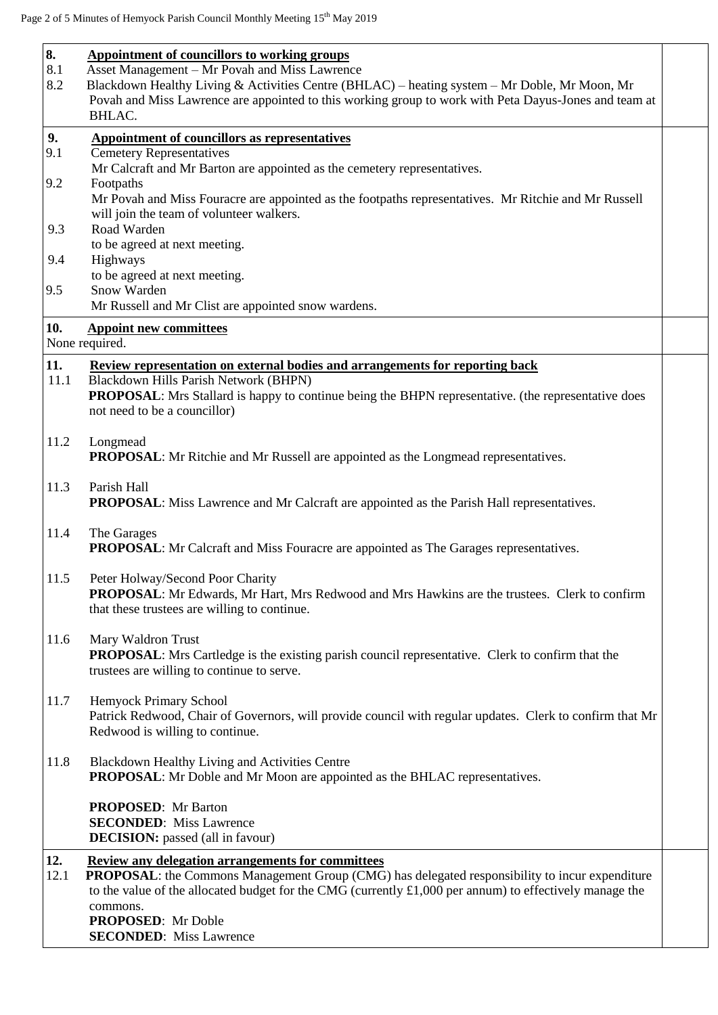| 8.          | Appointment of councillors to working groups                                                                                                        |  |
|-------------|-----------------------------------------------------------------------------------------------------------------------------------------------------|--|
| 8.1         | Asset Management - Mr Povah and Miss Lawrence                                                                                                       |  |
| 8.2         | Blackdown Healthy Living & Activities Centre (BHLAC) - heating system - Mr Doble, Mr Moon, Mr                                                       |  |
|             | Povah and Miss Lawrence are appointed to this working group to work with Peta Dayus-Jones and team at                                               |  |
|             | <b>BHLAC.</b>                                                                                                                                       |  |
| 9.          | <b>Appointment of councillors as representatives</b>                                                                                                |  |
| 9.1         | <b>Cemetery Representatives</b>                                                                                                                     |  |
|             | Mr Calcraft and Mr Barton are appointed as the cemetery representatives.                                                                            |  |
| 9.2         | Footpaths                                                                                                                                           |  |
|             | Mr Povah and Miss Fouracre are appointed as the footpaths representatives. Mr Ritchie and Mr Russell                                                |  |
|             | will join the team of volunteer walkers.                                                                                                            |  |
| 9.3         | Road Warden                                                                                                                                         |  |
| 9.4         | to be agreed at next meeting.<br>Highways                                                                                                           |  |
|             | to be agreed at next meeting.                                                                                                                       |  |
| 9.5         | Snow Warden                                                                                                                                         |  |
|             | Mr Russell and Mr Clist are appointed snow wardens.                                                                                                 |  |
| 10.         | <b>Appoint new committees</b>                                                                                                                       |  |
|             | None required.                                                                                                                                      |  |
|             |                                                                                                                                                     |  |
| 11.<br>11.1 | Review representation on external bodies and arrangements for reporting back                                                                        |  |
|             | Blackdown Hills Parish Network (BHPN)<br><b>PROPOSAL:</b> Mrs Stallard is happy to continue being the BHPN representative. (the representative does |  |
|             | not need to be a councillor)                                                                                                                        |  |
|             |                                                                                                                                                     |  |
| 11.2        | Longmead                                                                                                                                            |  |
|             | <b>PROPOSAL:</b> Mr Ritchie and Mr Russell are appointed as the Longmead representatives.                                                           |  |
|             |                                                                                                                                                     |  |
| 11.3        | Parish Hall                                                                                                                                         |  |
|             | <b>PROPOSAL:</b> Miss Lawrence and Mr Calcraft are appointed as the Parish Hall representatives.                                                    |  |
|             |                                                                                                                                                     |  |
| 11.4        | The Garages                                                                                                                                         |  |
|             | <b>PROPOSAL:</b> Mr Calcraft and Miss Fouracre are appointed as The Garages representatives.                                                        |  |
| 11.5        | Peter Holway/Second Poor Charity                                                                                                                    |  |
|             | <b>PROPOSAL:</b> Mr Edwards, Mr Hart, Mrs Redwood and Mrs Hawkins are the trustees. Clerk to confirm                                                |  |
|             | that these trustees are willing to continue.                                                                                                        |  |
|             |                                                                                                                                                     |  |
| 11.6        | Mary Waldron Trust                                                                                                                                  |  |
|             | <b>PROPOSAL:</b> Mrs Cartledge is the existing parish council representative. Clerk to confirm that the                                             |  |
|             | trustees are willing to continue to serve.                                                                                                          |  |
|             |                                                                                                                                                     |  |
| 11.7        | Hemyock Primary School                                                                                                                              |  |
|             | Patrick Redwood, Chair of Governors, will provide council with regular updates. Clerk to confirm that Mr                                            |  |
|             | Redwood is willing to continue.                                                                                                                     |  |
| 11.8        | Blackdown Healthy Living and Activities Centre                                                                                                      |  |
|             | <b>PROPOSAL:</b> Mr Doble and Mr Moon are appointed as the BHLAC representatives.                                                                   |  |
|             |                                                                                                                                                     |  |
|             | <b>PROPOSED:</b> Mr Barton                                                                                                                          |  |
|             | <b>SECONDED:</b> Miss Lawrence                                                                                                                      |  |
|             | <b>DECISION:</b> passed (all in favour)                                                                                                             |  |
| 12.         | <b>Review any delegation arrangements for committees</b>                                                                                            |  |
| 12.1        | <b>PROPOSAL:</b> the Commons Management Group (CMG) has delegated responsibility to incur expenditure                                               |  |
|             | to the value of the allocated budget for the CMG (currently $\pounds1,000$ per annum) to effectively manage the                                     |  |
|             | commons.                                                                                                                                            |  |
|             | <b>PROPOSED:</b> Mr Doble                                                                                                                           |  |
|             | <b>SECONDED:</b> Miss Lawrence                                                                                                                      |  |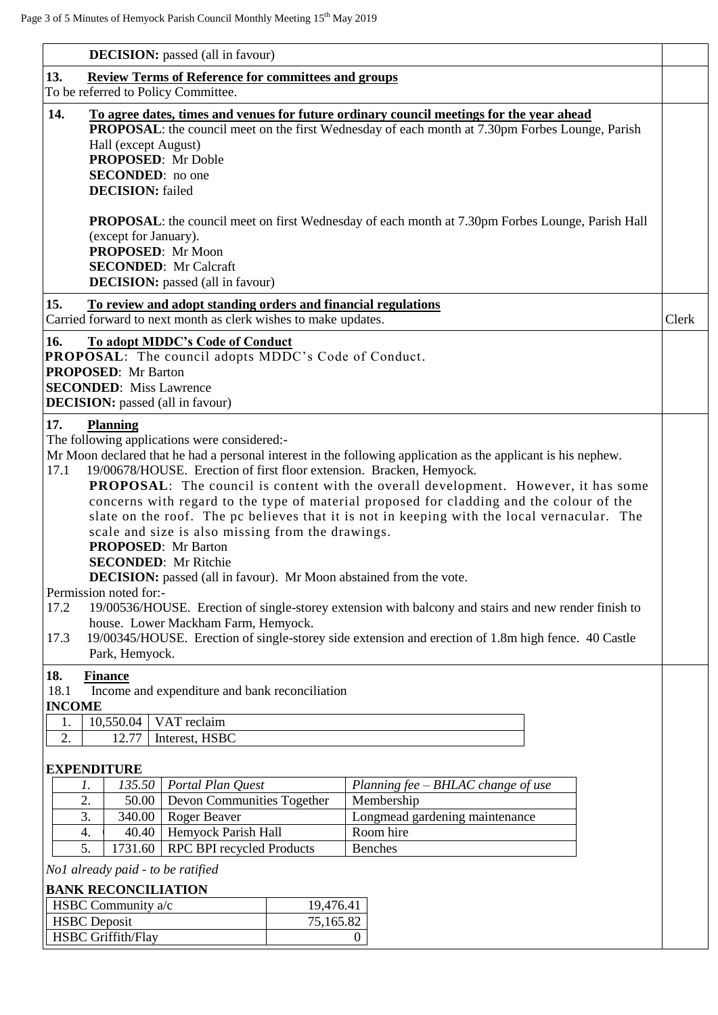| <b>DECISION:</b> passed (all in favour)                                                                                                                                                                                                                                                                                                                                                                                                                                                                                                                                                                                                                                                                                                                                                                                                                                                                                                                                                                                                                                                                                                                                                                                                                                             |                |                                                  |       |  |  |
|-------------------------------------------------------------------------------------------------------------------------------------------------------------------------------------------------------------------------------------------------------------------------------------------------------------------------------------------------------------------------------------------------------------------------------------------------------------------------------------------------------------------------------------------------------------------------------------------------------------------------------------------------------------------------------------------------------------------------------------------------------------------------------------------------------------------------------------------------------------------------------------------------------------------------------------------------------------------------------------------------------------------------------------------------------------------------------------------------------------------------------------------------------------------------------------------------------------------------------------------------------------------------------------|----------------|--------------------------------------------------|-------|--|--|
| 13.<br><b>Review Terms of Reference for committees and groups</b>                                                                                                                                                                                                                                                                                                                                                                                                                                                                                                                                                                                                                                                                                                                                                                                                                                                                                                                                                                                                                                                                                                                                                                                                                   |                |                                                  |       |  |  |
| To be referred to Policy Committee.                                                                                                                                                                                                                                                                                                                                                                                                                                                                                                                                                                                                                                                                                                                                                                                                                                                                                                                                                                                                                                                                                                                                                                                                                                                 |                |                                                  |       |  |  |
| 14.<br><u>To agree dates, times and venues for future ordinary council meetings for the year ahead</u><br><b>PROPOSAL:</b> the council meet on the first Wednesday of each month at 7.30pm Forbes Lounge, Parish<br>Hall (except August)<br><b>PROPOSED:</b> Mr Doble<br><b>SECONDED:</b> no one<br><b>DECISION:</b> failed                                                                                                                                                                                                                                                                                                                                                                                                                                                                                                                                                                                                                                                                                                                                                                                                                                                                                                                                                         |                |                                                  |       |  |  |
| <b>PROPOSAL:</b> the council meet on first Wednesday of each month at 7.30pm Forbes Lounge, Parish Hall<br>(except for January).<br>PROPOSED: Mr Moon<br><b>SECONDED:</b> Mr Calcraft<br><b>DECISION:</b> passed (all in favour)                                                                                                                                                                                                                                                                                                                                                                                                                                                                                                                                                                                                                                                                                                                                                                                                                                                                                                                                                                                                                                                    |                |                                                  |       |  |  |
| 15.<br>To review and adopt standing orders and financial regulations                                                                                                                                                                                                                                                                                                                                                                                                                                                                                                                                                                                                                                                                                                                                                                                                                                                                                                                                                                                                                                                                                                                                                                                                                |                |                                                  |       |  |  |
| Carried forward to next month as clerk wishes to make updates.                                                                                                                                                                                                                                                                                                                                                                                                                                                                                                                                                                                                                                                                                                                                                                                                                                                                                                                                                                                                                                                                                                                                                                                                                      |                |                                                  | Clerk |  |  |
| 16.<br>To adopt MDDC's Code of Conduct<br><b>PROPOSAL:</b> The council adopts MDDC's Code of Conduct.<br><b>PROPOSED:</b> Mr Barton<br><b>SECONDED:</b> Miss Lawrence<br><b>DECISION:</b> passed (all in favour)<br>17.<br><b>Planning</b><br>The following applications were considered:-<br>Mr Moon declared that he had a personal interest in the following application as the applicant is his nephew.<br>17.1<br>19/00678/HOUSE. Erection of first floor extension. Bracken, Hemyock.<br><b>PROPOSAL:</b> The council is content with the overall development. However, it has some<br>concerns with regard to the type of material proposed for cladding and the colour of the<br>slate on the roof. The pc believes that it is not in keeping with the local vernacular. The<br>scale and size is also missing from the drawings.<br><b>PROPOSED:</b> Mr Barton<br><b>SECONDED:</b> Mr Ritchie<br><b>DECISION:</b> passed (all in favour). Mr Moon abstained from the vote.<br>Permission noted for:-<br>17.2<br>19/00536/HOUSE. Erection of single-storey extension with balcony and stairs and new render finish to<br>house. Lower Mackham Farm, Hemyock.<br>19/00345/HOUSE. Erection of single-storey side extension and erection of 1.8m high fence. 40 Castle<br>17.3 |                |                                                  |       |  |  |
| Park, Hemyock.                                                                                                                                                                                                                                                                                                                                                                                                                                                                                                                                                                                                                                                                                                                                                                                                                                                                                                                                                                                                                                                                                                                                                                                                                                                                      |                |                                                  |       |  |  |
| 18.<br><b>Finance</b><br>18.1<br>Income and expenditure and bank reconciliation<br><b>INCOME</b><br>10,550.04<br>VAT reclaim<br>1.<br>2.<br>Interest, HSBC<br>12.77                                                                                                                                                                                                                                                                                                                                                                                                                                                                                                                                                                                                                                                                                                                                                                                                                                                                                                                                                                                                                                                                                                                 |                |                                                  |       |  |  |
| <b>EXPENDITURE</b><br>Portal Plan Quest                                                                                                                                                                                                                                                                                                                                                                                                                                                                                                                                                                                                                                                                                                                                                                                                                                                                                                                                                                                                                                                                                                                                                                                                                                             |                |                                                  |       |  |  |
| 135.50<br>1.<br>Devon Communities Together<br>2.<br>50.00                                                                                                                                                                                                                                                                                                                                                                                                                                                                                                                                                                                                                                                                                                                                                                                                                                                                                                                                                                                                                                                                                                                                                                                                                           |                | Planning $fee-BHLAC$ change of use<br>Membership |       |  |  |
| <b>Roger Beaver</b><br>3.<br>340.00                                                                                                                                                                                                                                                                                                                                                                                                                                                                                                                                                                                                                                                                                                                                                                                                                                                                                                                                                                                                                                                                                                                                                                                                                                                 |                | Longmead gardening maintenance                   |       |  |  |
| Hemyock Parish Hall<br>4.<br>40.40                                                                                                                                                                                                                                                                                                                                                                                                                                                                                                                                                                                                                                                                                                                                                                                                                                                                                                                                                                                                                                                                                                                                                                                                                                                  |                | Room hire                                        |       |  |  |
| 5.<br>RPC BPI recycled Products<br>1731.60<br><b>Benches</b>                                                                                                                                                                                                                                                                                                                                                                                                                                                                                                                                                                                                                                                                                                                                                                                                                                                                                                                                                                                                                                                                                                                                                                                                                        |                |                                                  |       |  |  |
| No1 already paid - to be ratified                                                                                                                                                                                                                                                                                                                                                                                                                                                                                                                                                                                                                                                                                                                                                                                                                                                                                                                                                                                                                                                                                                                                                                                                                                                   |                |                                                  |       |  |  |
| <b>BANK RECONCILIATION</b>                                                                                                                                                                                                                                                                                                                                                                                                                                                                                                                                                                                                                                                                                                                                                                                                                                                                                                                                                                                                                                                                                                                                                                                                                                                          |                |                                                  |       |  |  |
| HSBC Community a/c<br>19,476.41                                                                                                                                                                                                                                                                                                                                                                                                                                                                                                                                                                                                                                                                                                                                                                                                                                                                                                                                                                                                                                                                                                                                                                                                                                                     |                |                                                  |       |  |  |
| <b>HSBC</b> Deposit<br>75,165.82                                                                                                                                                                                                                                                                                                                                                                                                                                                                                                                                                                                                                                                                                                                                                                                                                                                                                                                                                                                                                                                                                                                                                                                                                                                    |                |                                                  |       |  |  |
| <b>HSBC</b> Griffith/Flay                                                                                                                                                                                                                                                                                                                                                                                                                                                                                                                                                                                                                                                                                                                                                                                                                                                                                                                                                                                                                                                                                                                                                                                                                                                           | $\overline{0}$ |                                                  |       |  |  |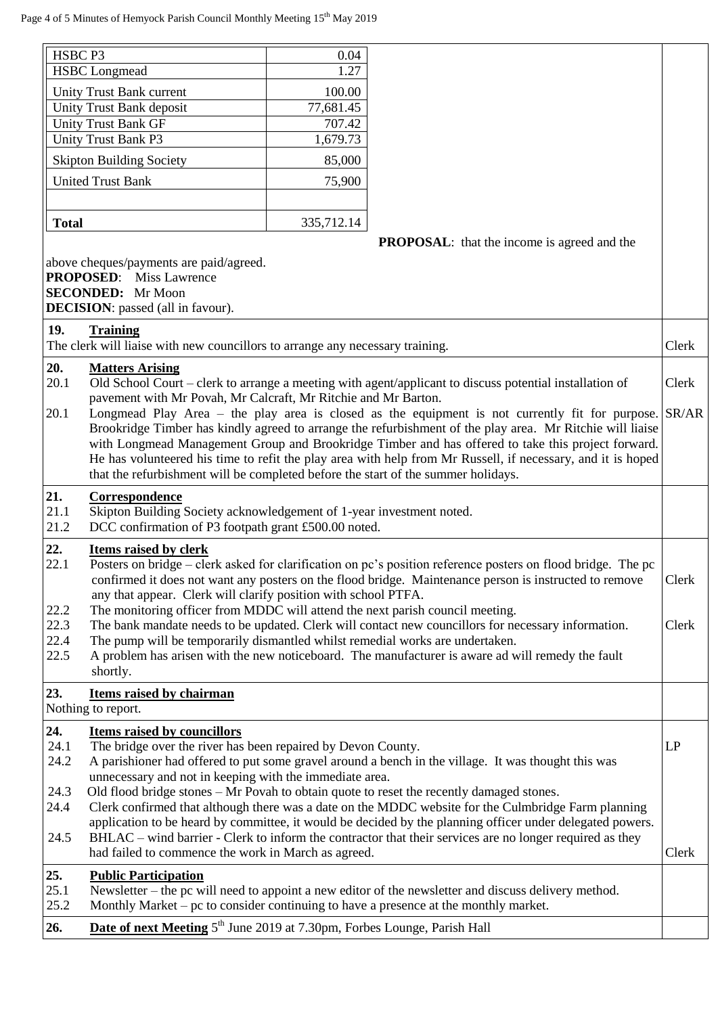| HSBC P3      |                                                                                                                                                                                              | 0.04       |                                                                                                                                                                                                                       |       |  |  |
|--------------|----------------------------------------------------------------------------------------------------------------------------------------------------------------------------------------------|------------|-----------------------------------------------------------------------------------------------------------------------------------------------------------------------------------------------------------------------|-------|--|--|
|              | <b>HSBC</b> Longmead                                                                                                                                                                         | 1.27       |                                                                                                                                                                                                                       |       |  |  |
|              | Unity Trust Bank current                                                                                                                                                                     | 100.00     |                                                                                                                                                                                                                       |       |  |  |
|              | Unity Trust Bank deposit                                                                                                                                                                     | 77,681.45  |                                                                                                                                                                                                                       |       |  |  |
|              | <b>Unity Trust Bank GF</b>                                                                                                                                                                   | 707.42     |                                                                                                                                                                                                                       |       |  |  |
|              | <b>Unity Trust Bank P3</b>                                                                                                                                                                   | 1,679.73   |                                                                                                                                                                                                                       |       |  |  |
|              | <b>Skipton Building Society</b>                                                                                                                                                              | 85,000     |                                                                                                                                                                                                                       |       |  |  |
|              | <b>United Trust Bank</b>                                                                                                                                                                     | 75,900     |                                                                                                                                                                                                                       |       |  |  |
|              |                                                                                                                                                                                              |            |                                                                                                                                                                                                                       |       |  |  |
| <b>Total</b> |                                                                                                                                                                                              | 335,712.14 |                                                                                                                                                                                                                       |       |  |  |
|              |                                                                                                                                                                                              |            | <b>PROPOSAL:</b> that the income is agreed and the                                                                                                                                                                    |       |  |  |
|              | above cheques/payments are paid/agreed.<br><b>PROPOSED:</b> Miss Lawrence<br><b>SECONDED:</b> Mr Moon<br><b>DECISION</b> : passed (all in favour).                                           |            |                                                                                                                                                                                                                       |       |  |  |
| 19.          | <b>Training</b>                                                                                                                                                                              |            |                                                                                                                                                                                                                       |       |  |  |
|              | The clerk will liaise with new councillors to arrange any necessary training.                                                                                                                |            |                                                                                                                                                                                                                       | Clerk |  |  |
| 20.          | <b>Matters Arising</b>                                                                                                                                                                       |            |                                                                                                                                                                                                                       |       |  |  |
| 20.1         | pavement with Mr Povah, Mr Calcraft, Mr Ritchie and Mr Barton.                                                                                                                               |            | Old School Court – clerk to arrange a meeting with agent/applicant to discuss potential installation of                                                                                                               | Clerk |  |  |
| 20.1         |                                                                                                                                                                                              |            | Longmead Play Area – the play area is closed as the equipment is not currently fit for purpose. $ SR/AR$                                                                                                              |       |  |  |
|              |                                                                                                                                                                                              |            | Brookridge Timber has kindly agreed to arrange the refurbishment of the play area. Mr Ritchie will liaise                                                                                                             |       |  |  |
|              |                                                                                                                                                                                              |            | with Longmead Management Group and Brookridge Timber and has offered to take this project forward.                                                                                                                    |       |  |  |
|              |                                                                                                                                                                                              |            | He has volunteered his time to refit the play area with help from Mr Russell, if necessary, and it is hoped                                                                                                           |       |  |  |
|              | that the refurbishment will be completed before the start of the summer holidays.                                                                                                            |            |                                                                                                                                                                                                                       |       |  |  |
| 21.<br>21.1  | Correspondence                                                                                                                                                                               |            |                                                                                                                                                                                                                       |       |  |  |
| 21.2         | Skipton Building Society acknowledgement of 1-year investment noted.                                                                                                                         |            |                                                                                                                                                                                                                       |       |  |  |
|              | DCC confirmation of P3 footpath grant £500.00 noted.                                                                                                                                         |            |                                                                                                                                                                                                                       |       |  |  |
| 22.<br>22.1  | Items raised by clerk<br>Posters on bridge – clerk asked for clarification on pc's position reference posters on flood bridge. The pc                                                        |            |                                                                                                                                                                                                                       |       |  |  |
|              |                                                                                                                                                                                              |            | confirmed it does not want any posters on the flood bridge. Maintenance person is instructed to remove                                                                                                                | Clerk |  |  |
|              | any that appear. Clerk will clarify position with school PTFA.                                                                                                                               |            |                                                                                                                                                                                                                       |       |  |  |
| 22.2         | The monitoring officer from MDDC will attend the next parish council meeting.                                                                                                                |            |                                                                                                                                                                                                                       |       |  |  |
| 22.3         | The bank mandate needs to be updated. Clerk will contact new councillors for necessary information.<br>Clerk                                                                                 |            |                                                                                                                                                                                                                       |       |  |  |
| 22.4         | The pump will be temporarily dismantled whilst remedial works are undertaken.                                                                                                                |            |                                                                                                                                                                                                                       |       |  |  |
| 22.5         | shortly.                                                                                                                                                                                     |            | A problem has arisen with the new noticeboard. The manufacturer is aware ad will remedy the fault                                                                                                                     |       |  |  |
|              |                                                                                                                                                                                              |            |                                                                                                                                                                                                                       |       |  |  |
| 23.          | Items raised by chairman<br>Nothing to report.                                                                                                                                               |            |                                                                                                                                                                                                                       |       |  |  |
|              |                                                                                                                                                                                              |            |                                                                                                                                                                                                                       |       |  |  |
| 24.<br>24.1  | <b>Items raised by councillors</b><br>The bridge over the river has been repaired by Devon County.                                                                                           |            |                                                                                                                                                                                                                       | LP    |  |  |
| 24.2         |                                                                                                                                                                                              |            | A parishioner had offered to put some gravel around a bench in the village. It was thought this was                                                                                                                   |       |  |  |
|              | unnecessary and not in keeping with the immediate area.                                                                                                                                      |            |                                                                                                                                                                                                                       |       |  |  |
| 24.3         |                                                                                                                                                                                              |            | Old flood bridge stones – Mr Povah to obtain quote to reset the recently damaged stones.                                                                                                                              |       |  |  |
| 24.4         | Clerk confirmed that although there was a date on the MDDC website for the Culmbridge Farm planning                                                                                          |            |                                                                                                                                                                                                                       |       |  |  |
| 24.5         |                                                                                                                                                                                              |            | application to be heard by committee, it would be decided by the planning officer under delegated powers.<br>BHLAC – wind barrier - Clerk to inform the contractor that their services are no longer required as they |       |  |  |
|              | had failed to commence the work in March as agreed.                                                                                                                                          |            |                                                                                                                                                                                                                       | Clerk |  |  |
|              |                                                                                                                                                                                              |            |                                                                                                                                                                                                                       |       |  |  |
| 25.<br>25.1  | <b>Public Participation</b>                                                                                                                                                                  |            |                                                                                                                                                                                                                       |       |  |  |
| 25.2         | Newsletter – the pc will need to appoint a new editor of the newsletter and discuss delivery method.<br>Monthly Market – pc to consider continuing to have a presence at the monthly market. |            |                                                                                                                                                                                                                       |       |  |  |
| 26.          | Date of next Meeting 5 <sup>th</sup> June 2019 at 7.30pm, Forbes Lounge, Parish Hall                                                                                                         |            |                                                                                                                                                                                                                       |       |  |  |
|              |                                                                                                                                                                                              |            |                                                                                                                                                                                                                       |       |  |  |